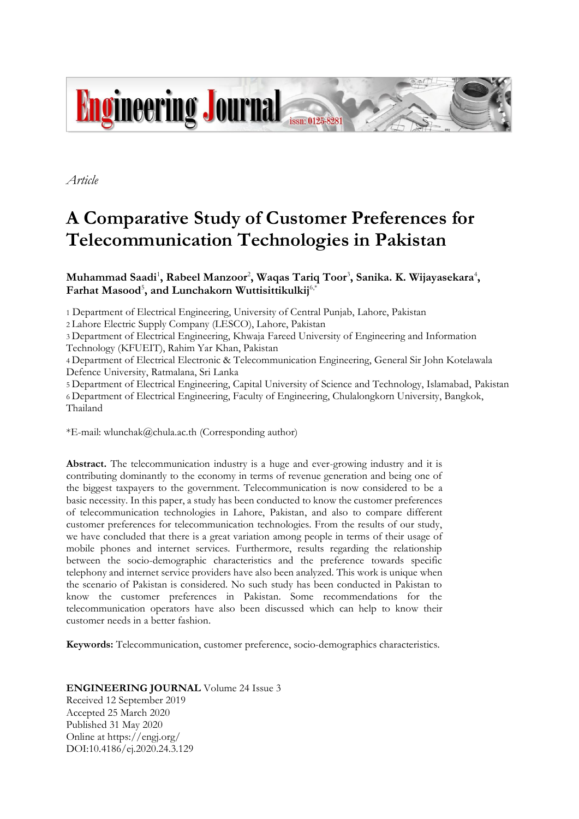

*Article*

# **A Comparative Study of Customer Preferences for Telecommunication Technologies in Pakistan**

Muhammad Saadi<sup>1</sup>, Rabeel Manzoor<sup>2</sup>, Waqas Tariq Toor<sup>3</sup>, Sanika. K. Wijayasekara<sup>4</sup>, **Farhat Masood**<sup>5</sup> **, and Lunchakorn Wuttisittikulkij**6,\*

1 Department of Electrical Engineering, University of Central Punjab, Lahore, Pakistan

2 Lahore Electric Supply Company (LESCO), Lahore, Pakistan

3 Department of Electrical Engineering, Khwaja Fareed University of Engineering and Information Technology (KFUEIT), Rahim Yar Khan, Pakistan

4 Department of Electrical Electronic & Telecommunication Engineering, General Sir John Kotelawala Defence University, Ratmalana, Sri Lanka

5 Department of Electrical Engineering, Capital University of Science and Technology, Islamabad, Pakistan 6 Department of Electrical Engineering, Faculty of Engineering, Chulalongkorn University, Bangkok, Thailand

\*E-mail: wlunchak@chula.ac.th (Corresponding author)

**Abstract.** The telecommunication industry is a huge and ever-growing industry and it is contributing dominantly to the economy in terms of revenue generation and being one of the biggest taxpayers to the government. Telecommunication is now considered to be a basic necessity. In this paper, a study has been conducted to know the customer preferences of telecommunication technologies in Lahore, Pakistan, and also to compare different customer preferences for telecommunication technologies. From the results of our study, we have concluded that there is a great variation among people in terms of their usage of mobile phones and internet services. Furthermore, results regarding the relationship between the socio-demographic characteristics and the preference towards specific telephony and internet service providers have also been analyzed. This work is unique when the scenario of Pakistan is considered. No such study has been conducted in Pakistan to know the customer preferences in Pakistan. Some recommendations for the telecommunication operators have also been discussed which can help to know their customer needs in a better fashion.

**Keywords:** Telecommunication, customer preference, socio-demographics characteristics.

**ENGINEERING JOURNAL** Volume 24 Issue 3 Received 12 September 2019 Accepted 25 March 2020 Published 31 May 2020 Online at https://engj.org/ DOI:10.4186/ej.2020.24.3.129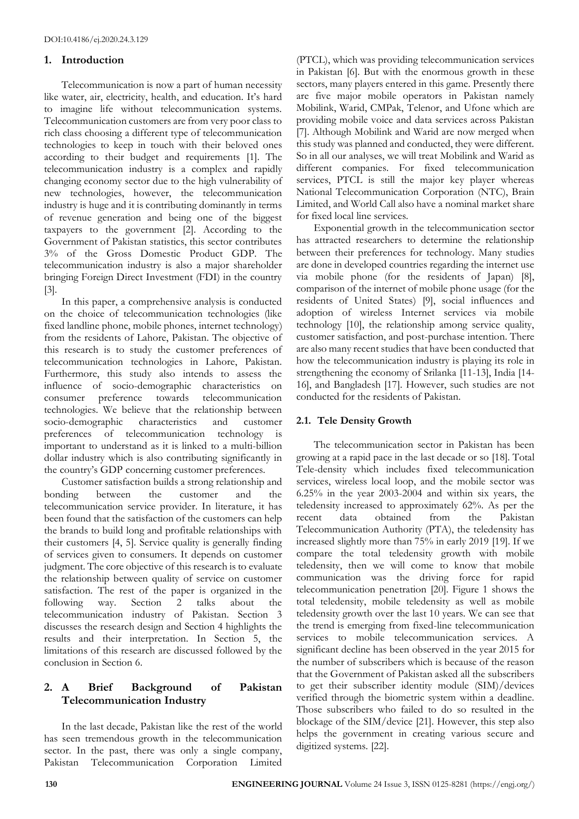## **1. Introduction**

Telecommunication is now a part of human necessity like water, air, electricity, health, and education. It's hard to imagine life without telecommunication systems. Telecommunication customers are from very poor class to rich class choosing a different type of telecommunication technologies to keep in touch with their beloved ones according to their budget and requirements [1]. The telecommunication industry is a complex and rapidly changing economy sector due to the high vulnerability of new technologies, however, the telecommunication industry is huge and it is contributing dominantly in terms of revenue generation and being one of the biggest taxpayers to the government [2]. According to the Government of Pakistan statistics, this sector contributes 3% of the Gross Domestic Product GDP. The telecommunication industry is also a major shareholder bringing Foreign Direct Investment (FDI) in the country [3].

In this paper, a comprehensive analysis is conducted on the choice of telecommunication technologies (like fixed landline phone, mobile phones, internet technology) from the residents of Lahore, Pakistan. The objective of this research is to study the customer preferences of telecommunication technologies in Lahore, Pakistan. Furthermore, this study also intends to assess the influence of socio-demographic characteristics on consumer preference towards telecommunication technologies. We believe that the relationship between socio-demographic characteristics and customer preferences of telecommunication technology is important to understand as it is linked to a multi-billion dollar industry which is also contributing significantly in the country's GDP concerning customer preferences.

Customer satisfaction builds a strong relationship and bonding between the customer and the telecommunication service provider. In literature, it has been found that the satisfaction of the customers can help the brands to build long and profitable relationships with their customers [4, 5]. Service quality is generally finding of services given to consumers. It depends on customer judgment. The core objective of this research is to evaluate the relationship between quality of service on customer satisfaction. The rest of the paper is organized in the following way. Section 2 talks about the telecommunication industry of Pakistan. Section 3 discusses the research design and Section 4 highlights the results and their interpretation. In Section 5, the limitations of this research are discussed followed by the conclusion in Section 6.

# **2. A Brief Background of Pakistan Telecommunication Industry**

In the last decade, Pakistan like the rest of the world has seen tremendous growth in the telecommunication sector. In the past, there was only a single company, Pakistan Telecommunication Corporation Limited

(PTCL), which was providing telecommunication services in Pakistan [6]. But with the enormous growth in these sectors, many players entered in this game. Presently there are five major mobile operators in Pakistan namely Mobilink, Warid, CMPak, Telenor, and Ufone which are providing mobile voice and data services across Pakistan [7]. Although Mobilink and Warid are now merged when this study was planned and conducted, they were different. So in all our analyses, we will treat Mobilink and Warid as different companies. For fixed telecommunication services, PTCL is still the major key player whereas National Telecommunication Corporation (NTC), Brain Limited, and World Call also have a nominal market share for fixed local line services.

Exponential growth in the telecommunication sector has attracted researchers to determine the relationship between their preferences for technology. Many studies are done in developed countries regarding the internet use via mobile phone (for the residents of Japan) [8], comparison of the internet of mobile phone usage (for the residents of United States) [9], social influences and adoption of wireless Internet services via mobile technology [10], the relationship among service quality, customer satisfaction, and post-purchase intention. There are also many recent studies that have been conducted that how the telecommunication industry is playing its role in strengthening the economy of Srilanka [11-13], India [14- 16], and Bangladesh [17]. However, such studies are not conducted for the residents of Pakistan.

# **2.1. Tele Density Growth**

The telecommunication sector in Pakistan has been growing at a rapid pace in the last decade or so [18]. Total Tele-density which includes fixed telecommunication services, wireless local loop, and the mobile sector was 6.25% in the year 2003-2004 and within six years, the teledensity increased to approximately 62%. As per the recent data obtained from the Pakistan Telecommunication Authority (PTA), the teledensity has increased slightly more than 75% in early 2019 [19]. If we compare the total teledensity growth with mobile teledensity, then we will come to know that mobile communication was the driving force for rapid telecommunication penetration [20]. Figure 1 shows the total teledensity, mobile teledensity as well as mobile teledensity growth over the last 10 years. We can see that the trend is emerging from fixed-line telecommunication services to mobile telecommunication services. A significant decline has been observed in the year 2015 for the number of subscribers which is because of the reason that the Government of Pakistan asked all the subscribers to get their subscriber identity module (SIM)/devices verified through the biometric system within a deadline. Those subscribers who failed to do so resulted in the blockage of the SIM/device [21]. However, this step also helps the government in creating various secure and digitized systems. [22].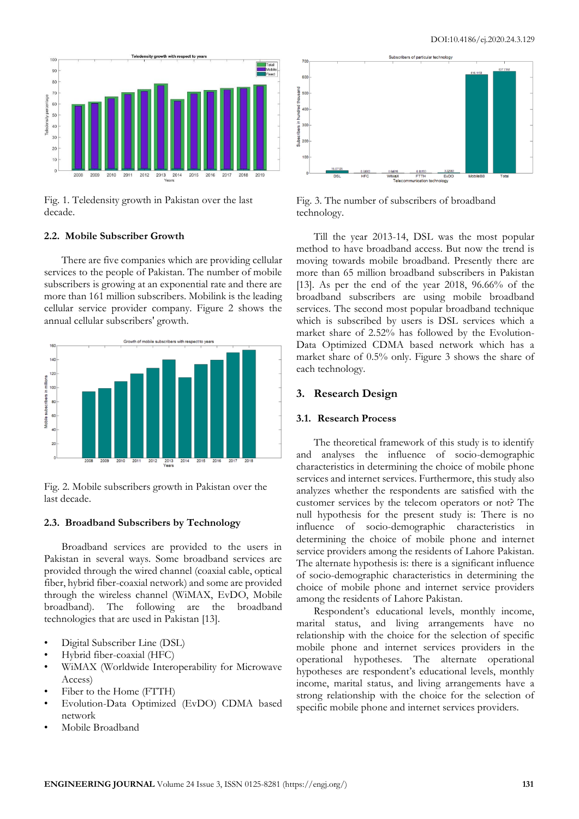

Fig. 1. Teledensity growth in Pakistan over the last decade.

# **2.2. Mobile Subscriber Growth**

There are five companies which are providing cellular services to the people of Pakistan. The number of mobile subscribers is growing at an exponential rate and there are more than 161 million subscribers. Mobilink is the leading cellular service provider company. Figure 2 shows the annual cellular subscribers' growth.



Fig. 2. Mobile subscribers growth in Pakistan over the last decade.

#### **2.3. Broadband Subscribers by Technology**

Broadband services are provided to the users in Pakistan in several ways. Some broadband services are provided through the wired channel (coaxial cable, optical fiber, hybrid fiber-coaxial network) and some are provided through the wireless channel (WiMAX, EvDO, Mobile broadband). The following are the broadband technologies that are used in Pakistan [13].

- Digital Subscriber Line (DSL)
- Hybrid fiber-coaxial (HFC)
- WiMAX (Worldwide Interoperability for Microwave Access)
- Fiber to the Home (FTTH)
- Evolution-Data Optimized (EvDO) CDMA based network
- Mobile Broadband



Fig. 3. The number of subscribers of broadband technology.

Till the year 2013-14, DSL was the most popular method to have broadband access. But now the trend is moving towards mobile broadband. Presently there are more than 65 million broadband subscribers in Pakistan [13]. As per the end of the year 2018, 96.66% of the broadband subscribers are using mobile broadband services. The second most popular broadband technique which is subscribed by users is DSL services which a market share of 2.52% has followed by the Evolution-Data Optimized CDMA based network which has a market share of 0.5% only. Figure 3 shows the share of each technology.

## **3. Research Design**

#### **3.1. Research Process**

The theoretical framework of this study is to identify and analyses the influence of socio-demographic characteristics in determining the choice of mobile phone services and internet services. Furthermore, this study also analyzes whether the respondents are satisfied with the customer services by the telecom operators or not? The null hypothesis for the present study is: There is no influence of socio-demographic characteristics in determining the choice of mobile phone and internet service providers among the residents of Lahore Pakistan. The alternate hypothesis is: there is a significant influence of socio-demographic characteristics in determining the choice of mobile phone and internet service providers among the residents of Lahore Pakistan.

Respondent's educational levels, monthly income, marital status, and living arrangements have no relationship with the choice for the selection of specific mobile phone and internet services providers in the operational hypotheses. The alternate operational hypotheses are respondent's educational levels, monthly income, marital status, and living arrangements have a strong relationship with the choice for the selection of specific mobile phone and internet services providers.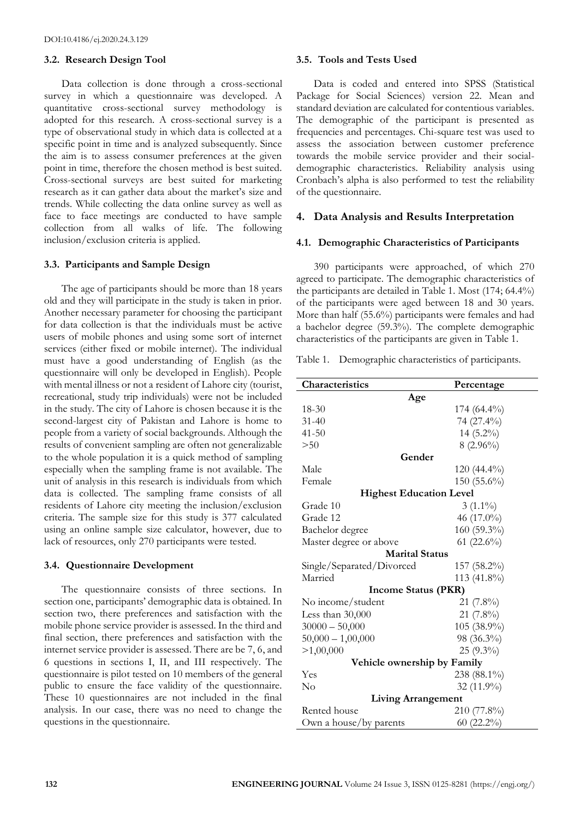#### **3.2. Research Design Tool**

Data collection is done through a cross-sectional survey in which a questionnaire was developed. A quantitative cross-sectional survey methodology is adopted for this research. A cross-sectional survey is a type of observational study in which data is collected at a specific point in time and is analyzed subsequently. Since the aim is to assess consumer preferences at the given point in time, therefore the chosen method is best suited. Cross-sectional surveys are best suited for marketing research as it can gather data about the market's size and trends. While collecting the data online survey as well as face to face meetings are conducted to have sample collection from all walks of life. The following inclusion/exclusion criteria is applied.

#### **3.3. Participants and Sample Design**

The age of participants should be more than 18 years old and they will participate in the study is taken in prior. Another necessary parameter for choosing the participant for data collection is that the individuals must be active users of mobile phones and using some sort of internet services (either fixed or mobile internet). The individual must have a good understanding of English (as the questionnaire will only be developed in English). People with mental illness or not a resident of Lahore city (tourist, recreational, study trip individuals) were not be included in the study. The city of Lahore is chosen because it is the second-largest city of Pakistan and Lahore is home to people from a variety of social backgrounds. Although the results of convenient sampling are often not generalizable to the whole population it is a quick method of sampling especially when the sampling frame is not available. The unit of analysis in this research is individuals from which data is collected. The sampling frame consists of all residents of Lahore city meeting the inclusion/exclusion criteria. The sample size for this study is 377 calculated using an online sample size calculator, however, due to lack of resources, only 270 participants were tested.

#### **3.4. Questionnaire Development**

The questionnaire consists of three sections. In section one, participants' demographic data is obtained. In section two, there preferences and satisfaction with the mobile phone service provider is assessed. In the third and final section, there preferences and satisfaction with the internet service provider is assessed. There are be 7, 6, and 6 questions in sections I, II, and III respectively. The questionnaire is pilot tested on 10 members of the general public to ensure the face validity of the questionnaire. These 10 questionnaires are not included in the final analysis. In our case, there was no need to change the questions in the questionnaire.

## **3.5. Tools and Tests Used**

Data is coded and entered into SPSS (Statistical Package for Social Sciences) version 22. Mean and standard deviation are calculated for contentious variables. The demographic of the participant is presented as frequencies and percentages. Chi-square test was used to assess the association between customer preference towards the mobile service provider and their socialdemographic characteristics. Reliability analysis using Cronbach's alpha is also performed to test the reliability of the questionnaire.

# **4. Data Analysis and Results Interpretation**

#### **4.1. Demographic Characteristics of Participants**

390 participants were approached, of which 270 agreed to participate. The demographic characteristics of the participants are detailed in Table 1. Most (174; 64.4%) of the participants were aged between 18 and 30 years. More than half (55.6%) participants were females and had a bachelor degree (59.3%). The complete demographic characteristics of the participants are given in Table 1.

Table 1. Demographic characteristics of participants.

| Characteristics                   | Percentage     |  |  |  |
|-----------------------------------|----------------|--|--|--|
| Age                               |                |  |  |  |
| 18-30                             | $174(64.4\%)$  |  |  |  |
| $31 - 40$                         | 74 (27.4%)     |  |  |  |
| $41 - 50$                         | 14 (5.2%)      |  |  |  |
| > 50                              | $8(2.96\%)$    |  |  |  |
| Gender                            |                |  |  |  |
| Male                              | $120(44.4\%)$  |  |  |  |
| Female                            | $150(55.6\%)$  |  |  |  |
| <b>Highest Education Level</b>    |                |  |  |  |
| Grade 10                          | $3(1.1\%)$     |  |  |  |
| Grade 12                          | 46 (17.0%)     |  |  |  |
| Bachelor degree                   | 160 (59.3%)    |  |  |  |
| Master degree or above            | 61 (22.6%)     |  |  |  |
| <b>Marital Status</b>             |                |  |  |  |
| Single/Separated/Divorced         | $157(58.2\%)$  |  |  |  |
| Married                           | 113 $(41.8\%)$ |  |  |  |
| <b>Income Status (PKR)</b>        |                |  |  |  |
| No income/student                 | $21(7.8\%)$    |  |  |  |
| Less than 30,000                  | $21(7.8\%)$    |  |  |  |
| 105 (38.9%)<br>$30000 - 50,000$   |                |  |  |  |
| 98 (36.3%)<br>$50,000 - 1,00,000$ |                |  |  |  |
| >1,00,000                         | $25(9.3\%)$    |  |  |  |
| Vehicle ownership by Family       |                |  |  |  |
| Yes                               | $238(88.1\%)$  |  |  |  |
| No                                | 32 (11.9%)     |  |  |  |
| <b>Living Arrangement</b>         |                |  |  |  |
| Rented house                      | 210 (77.8%)    |  |  |  |
| Own a house/by parents            | $60(22.2\%)$   |  |  |  |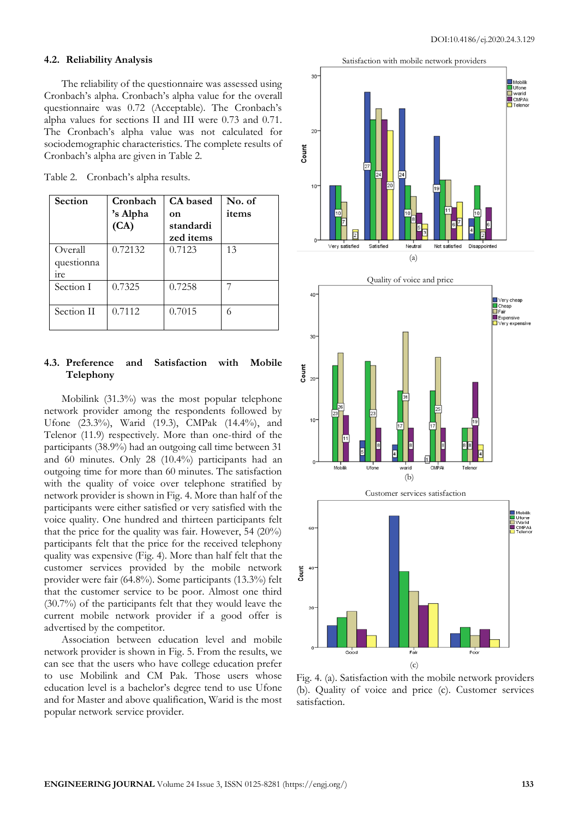## **4.2. Reliability Analysis**

The reliability of the questionnaire was assessed using Cronbach's alpha. Cronbach's alpha value for the overall questionnaire was 0.72 (Acceptable). The Cronbach's alpha values for sections II and III were 0.73 and 0.71. The Cronbach's alpha value was not calculated for sociodemographic characteristics. The complete results of Cronbach's alpha are given in Table 2.

| Section         | Cronbach | <b>CA</b> based | No. of |
|-----------------|----------|-----------------|--------|
|                 | 's Alpha | on              | items  |
|                 | (CA)     | standardi       |        |
|                 |          | zed items       |        |
| Overall         | 0.72132  | 0.7123          | 13     |
| questionna      |          |                 |        |
| <sub>1</sub> re |          |                 |        |
| Section I       | 0.7325   | 0.7258          |        |
|                 |          |                 |        |
| Section II      | 0.7112   | 0.7015          |        |
|                 |          |                 |        |

## **4.3. Preference and Satisfaction with Mobile Telephony**

Mobilink (31.3%) was the most popular telephone network provider among the respondents followed by Ufone (23.3%), Warid (19.3), CMPak (14.4%), and Telenor (11.9) respectively. More than one-third of the participants (38.9%) had an outgoing call time between 31 and 60 minutes. Only 28 (10.4%) participants had an outgoing time for more than 60 minutes. The satisfaction with the quality of voice over telephone stratified by network provider is shown in Fig. 4. More than half of the participants were either satisfied or very satisfied with the voice quality. One hundred and thirteen participants felt that the price for the quality was fair. However, 54  $(20\%)$ participants felt that the price for the received telephony quality was expensive (Fig. 4). More than half felt that the customer services provided by the mobile network provider were fair (64.8%). Some participants (13.3%) felt that the customer service to be poor. Almost one third (30.7%) of the participants felt that they would leave the current mobile network provider if a good offer is advertised by the competitor.

Association between education level and mobile network provider is shown in Fig. 5. From the results, we can see that the users who have college education prefer to use Mobilink and CM Pak. Those users whose education level is a bachelor's degree tend to use Ufone and for Master and above qualification, Warid is the most popular network service provider.



Fig. 4. (a). Satisfaction with the mobile network providers (b). Quality of voice and price (c). Customer services satisfaction.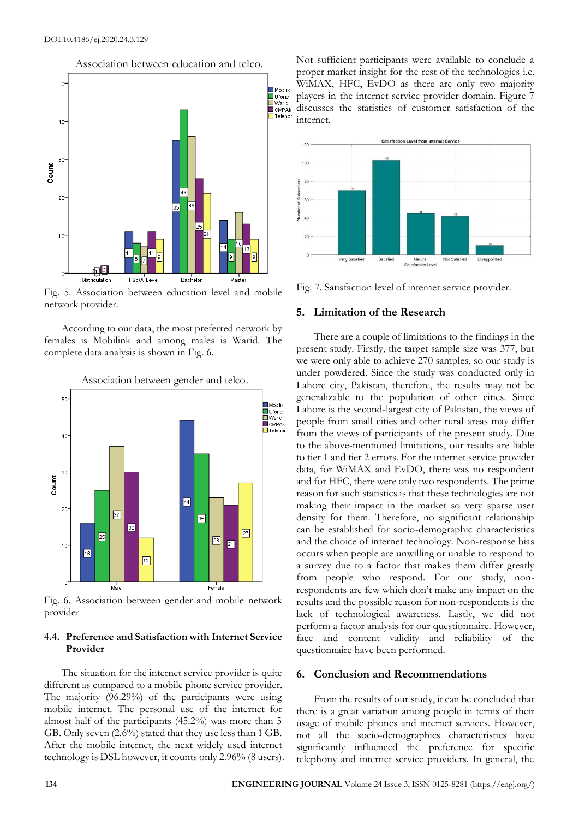Association between education and telco.



Fig. 5. Association between education level and mobile network provider.

According to our data, the most preferred network by females is Mobilink and among males is Warid. The complete data analysis is shown in Fig. 6.



Fig. 6. Association between gender and mobile network provider

## **4.4. Preference and Satisfaction with Internet Service Provider**

The situation for the internet service provider is quite different as compared to a mobile phone service provider. The majority (96.29%) of the participants were using mobile internet. The personal use of the internet for almost half of the participants (45.2%) was more than 5 GB. Only seven (2.6%) stated that they use less than 1 GB. After the mobile internet, the next widely used internet technology is DSL however, it counts only 2.96% (8 users). Not sufficient participants were available to conclude a proper market insight for the rest of the technologies i.e. WiMAX, HFC, EvDO as there are only two majority players in the internet service provider domain. Figure 7 discusses the statistics of customer satisfaction of the internet.



Fig. 7. Satisfaction level of internet service provider.

#### **5. Limitation of the Research**

There are a couple of limitations to the findings in the present study. Firstly, the target sample size was 377, but we were only able to achieve 270 samples, so our study is under powdered. Since the study was conducted only in Lahore city, Pakistan, therefore, the results may not be generalizable to the population of other cities. Since Lahore is the second-largest city of Pakistan, the views of people from small cities and other rural areas may differ from the views of participants of the present study. Due to the above-mentioned limitations, our results are liable to tier 1 and tier 2 errors. For the internet service provider data, for WiMAX and EvDO, there was no respondent and for HFC, there were only two respondents. The prime reason for such statistics is that these technologies are not making their impact in the market so very sparse user density for them. Therefore, no significant relationship can be established for socio-demographic characteristics and the choice of internet technology. Non-response bias occurs when people are unwilling or unable to respond to a survey due to a factor that makes them differ greatly from people who respond. For our study, nonrespondents are few which don't make any impact on the results and the possible reason for non-respondents is the lack of technological awareness. Lastly, we did not perform a factor analysis for our questionnaire. However, face and content validity and reliability of the questionnaire have been performed.

## **6. Conclusion and Recommendations**

From the results of our study, it can be concluded that there is a great variation among people in terms of their usage of mobile phones and internet services. However, not all the socio-demographics characteristics have significantly influenced the preference for specific telephony and internet service providers. In general, the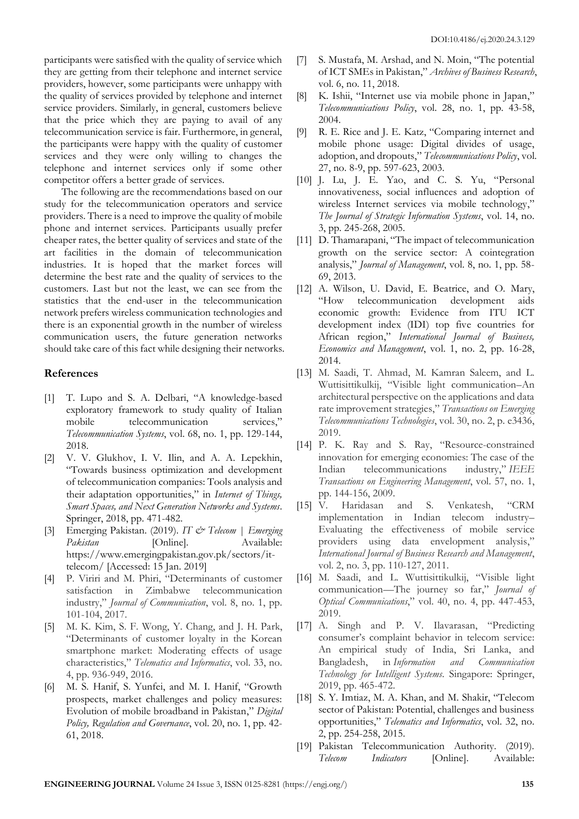participants were satisfied with the quality of service which they are getting from their telephone and internet service providers, however, some participants were unhappy with the quality of services provided by telephone and internet service providers. Similarly, in general, customers believe that the price which they are paying to avail of any telecommunication service is fair. Furthermore, in general, the participants were happy with the quality of customer services and they were only willing to changes the telephone and internet services only if some other competitor offers a better grade of services.

The following are the recommendations based on our study for the telecommunication operators and service providers. There is a need to improve the quality of mobile phone and internet services. Participants usually prefer cheaper rates, the better quality of services and state of the art facilities in the domain of telecommunication industries. It is hoped that the market forces will determine the best rate and the quality of services to the customers. Last but not the least, we can see from the statistics that the end-user in the telecommunication network prefers wireless communication technologies and there is an exponential growth in the number of wireless communication users, the future generation networks should take care of this fact while designing their networks.

# **References**

- [1] T. Lupo and S. A. Delbari, "A knowledge-based exploratory framework to study quality of Italian mobile telecommunication services," *Telecommunication Systems*, vol. 68, no. 1, pp. 129-144, 2018.
- [2] V. V. Glukhov, I. V. Ilin, and A. A. Lepekhin, "Towards business optimization and development of telecommunication companies: Tools analysis and their adaptation opportunities," in *Internet of Things, Smart Spaces, and Next Generation Networks and Systems*. Springer, 2018, pp. 471-482.
- [3] Emerging Pakistan. (2019). *IT & Telecom | Emerging*  Pakistan [Online]. Available: https://www.emergingpakistan.gov.pk/sectors/ittelecom/ [Accessed: 15 Jan. 2019]
- [4] P. Viriri and M. Phiri, "Determinants of customer Zimbabwe telecommunication industry," *Journal of Communication*, vol. 8, no. 1, pp. 101-104, 2017.
- [5] M. K. Kim, S. F. Wong, Y. Chang, and J. H. Park, "Determinants of customer loyalty in the Korean smartphone market: Moderating effects of usage characteristics," *Telematics and Informatics*, vol. 33, no. 4, pp. 936-949, 2016.
- [6] M. S. Hanif, S. Yunfei, and M. I. Hanif, "Growth prospects, market challenges and policy measures: Evolution of mobile broadband in Pakistan," *Digital Policy, Regulation and Governance*, vol. 20, no. 1, pp. 42- 61, 2018.
- [7] S. Mustafa, M. Arshad, and N. Moin, "The potential of ICT SMEs in Pakistan," *Archives of Business Research*, vol. 6, no. 11, 2018.
- [8] K. Ishii, "Internet use via mobile phone in Japan," *Telecommunications Policy*, vol. 28, no. 1, pp. 43-58, 2004.
- [9] R. E. Rice and J. E. Katz, "Comparing internet and mobile phone usage: Digital divides of usage, adoption, and dropouts," *Telecommunications Policy*, vol. 27, no. 8-9, pp. 597-623, 2003.
- [10] J. Lu, J. E. Yao, and C. S. Yu, "Personal innovativeness, social influences and adoption of wireless Internet services via mobile technology," *The Journal of Strategic Information Systems*, vol. 14, no. 3, pp. 245-268, 2005.
- [11] D. Thamarapani, "The impact of telecommunication growth on the service sector: A cointegration analysis," *Journal of Management*, vol. 8, no. 1, pp. 58- 69, 2013.
- [12] A. Wilson, U. David, E. Beatrice, and O. Mary, "How telecommunication development aids economic growth: Evidence from ITU ICT development index (IDI) top five countries for African region," *International Journal of Business, Economics and Management*, vol. 1, no. 2, pp. 16-28, 2014.
- [13] M. Saadi, T. Ahmad, M. Kamran Saleem, and L. Wuttisittikulkij, "Visible light communication–An architectural perspective on the applications and data rate improvement strategies," *Transactions on Emerging Telecommunications Technologies*, vol. 30, no. 2, p. e3436, 2019.
- [14] P. K. Ray and S. Ray, "Resource-constrained innovation for emerging economies: The case of the Indian telecommunications industry," *IEEE Transactions on Engineering Management*, vol. 57, no. 1, pp. 144-156, 2009.
- [15] V. Haridasan and S. Venkatesh, "CRM implementation in Indian telecom industry– Evaluating the effectiveness of mobile service providers using data envelopment analysis," *International Journal of Business Research and Management*, vol. 2, no. 3, pp. 110-127, 2011.
- [16] M. Saadi, and L. Wuttisittikulkij, "Visible light communication—The journey so far," *Journal of Optical Communications*," vol. 40, no. 4, pp. 447-453, 2019.
- [17] A. Singh and P. V. Ilavarasan, "Predicting consumer's complaint behavior in telecom service: An empirical study of India, Sri Lanka, and Bangladesh, in *Information and Communication Technology for Intelligent Systems*. Singapore: Springer, 2019, pp. 465-472.
- [18] S. Y. Imtiaz, M. A. Khan, and M. Shakir, "Telecom sector of Pakistan: Potential, challenges and business opportunities," *Telematics and Informatics*, vol. 32, no. 2, pp. 254-258, 2015.
- [19] Pakistan Telecommunication Authority. (2019). *Telecom Indicators* [Online]. Available: